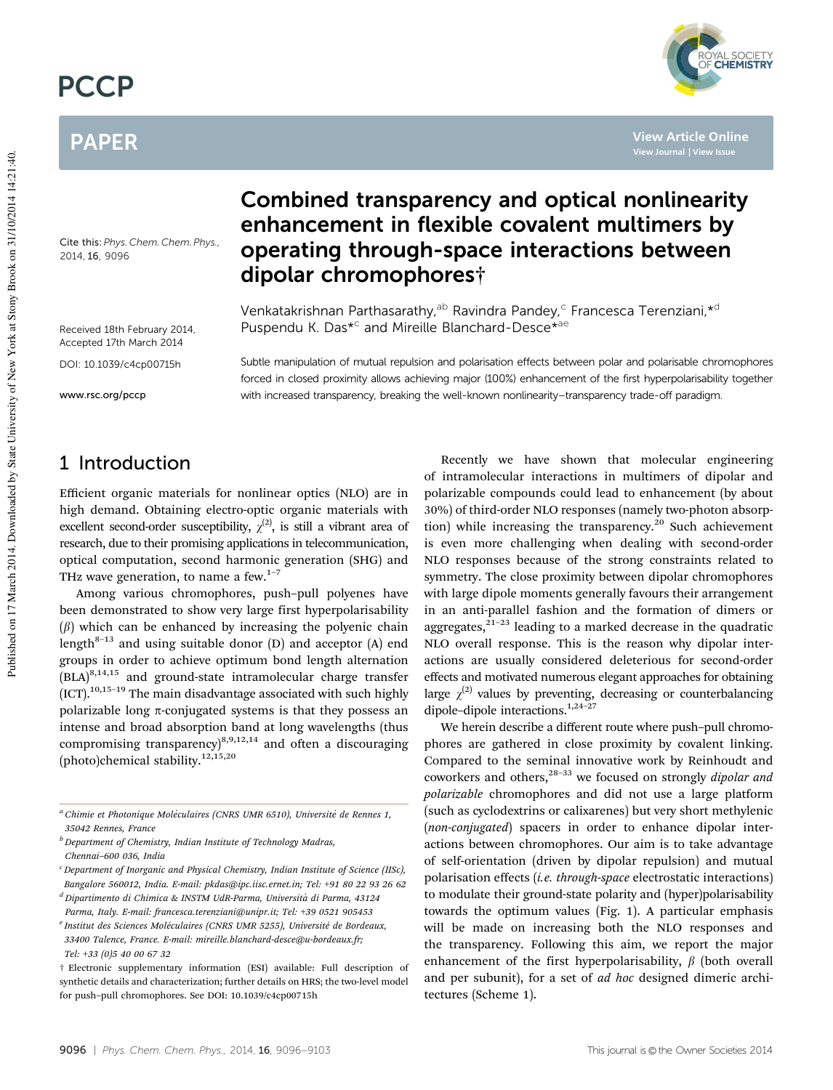# **PCCP**

## PAPER

Cite this: *Phys. Chem. Chem. Phys.,* 2014, 16, 9096

Received 18th February 2014, Accepted 17th March 2014

DOI: 10.1039/c4cp00715h

www.rsc.org/pccp

### Combined transparency and optical nonlinearity enhancement in flexible covalent multimers by operating through-space interactions between dipolar chromophores†

Venkatakrishnan Parthasarathy,<sup>ab</sup> Ravindra Pandey,<sup>c</sup> Francesca Terenziani,\*<sup>d</sup> Puspendu K. Das<sup>\*c</sup> and Mireille Blanchard-Desce<sup>\*ae</sup>

Subtle manipulation of mutual repulsion and polarisation effects between polar and polarisable chromophores forced in closed proximity allows achieving major (100%) enhancement of the first hyperpolarisability together with increased transparency, breaking the well-known nonlinearity–transparency trade-off paradigm.

### 1 Introduction

Efficient organic materials for nonlinear optics (NLO) are in high demand. Obtaining electro-optic organic materials with excellent second-order susceptibility,  $\chi^{(2)}$ , is still a vibrant area of research, due to their promising applications in telecommunication, optical computation, second harmonic generation (SHG) and THz wave generation, to name a few.<sup>1-7</sup>

Among various chromophores, push–pull polyenes have been demonstrated to show very large first hyperpolarisability  $(\beta)$  which can be enhanced by increasing the polyenic chain length $8-13$  and using suitable donor (D) and acceptor (A) end groups in order to achieve optimum bond length alternation  $(BLA)^{8,14,15}$  and ground-state intramolecular charge transfer  $[ICT]$ .<sup>10,15-19</sup> The main disadvantage associated with such highly polarizable long  $\pi$ -conjugated systems is that they possess an intense and broad absorption band at long wavelengths (thus compromising transparency) $8,9,12,14$  and often a discouraging (photo)chemical stability.12,15,20

*<sup>a</sup> Chimie et Photonique Mole´culaires (CNRS UMR 6510), Universite´ de Rennes 1, 35042 Rennes, France*

*<sup>b</sup> Department of Chemistry, Indian Institute of Technology Madras, Chennai–600 036, India*

*<sup>c</sup>Department of Inorganic and Physical Chemistry, Indian Institute of Science (IISc), Bangalore 560012, India. E-mail: pkdas@ipc.iisc.ernet.in; Tel:* +*91 80 22 93 26 62 <sup>d</sup> Dipartimento di Chimica & INSTM UdR-Parma, Universita` di Parma, 43124*

*Parma, Italy. E-mail: francesca.terenziani@unipr.it; Tel:* +*39 0521 905453*

<sup>e</sup> Institut des Sciences Moléculaires (CNRS UMR 5255), Université de Bordeaux, *33400 Talence, France. E-mail: mireille.blanchard-desce@u-bordeaux.fr; Tel:* +*33 (0)5 40 00 67 32*

Recently we have shown that molecular engineering of intramolecular interactions in multimers of dipolar and polarizable compounds could lead to enhancement (by about 30%) of third-order NLO responses (namely two-photon absorption) while increasing the transparency.<sup>20</sup> Such achievement is even more challenging when dealing with second-order NLO responses because of the strong constraints related to symmetry. The close proximity between dipolar chromophores with large dipole moments generally favours their arrangement in an anti-parallel fashion and the formation of dimers or aggregates, $2^{1-23}$  leading to a marked decrease in the quadratic NLO overall response. This is the reason why dipolar interactions are usually considered deleterious for second-order effects and motivated numerous elegant approaches for obtaining large  $\chi^{(2)}$  values by preventing, decreasing or counterbalancing dipole-dipole interactions.<sup>1,24-27</sup>

**View Article Online**

**THE SOCIETY**<br>**CHEMISTRY** 

We herein describe a different route where push–pull chromophores are gathered in close proximity by covalent linking. Compared to the seminal innovative work by Reinhoudt and coworkers and others,28–33 we focused on strongly *dipolar and polarizable* chromophores and did not use a large platform (such as cyclodextrins or calixarenes) but very short methylenic (*non-conjugated*) spacers in order to enhance dipolar interactions between chromophores. Our aim is to take advantage of self-orientation (driven by dipolar repulsion) and mutual polarisation effects (*i.e. through-space* electrostatic interactions) to modulate their ground-state polarity and (hyper)polarisability towards the optimum values (Fig. 1). A particular emphasis will be made on increasing both the NLO responses and the transparency. Following this aim, we report the major enhancement of the first hyperpolarisability,  $\beta$  (both overall and per subunit), for a set of *ad hoc* designed dimeric architectures (Scheme 1).

<sup>†</sup> Electronic supplementary information (ESI) available: Full description of synthetic details and characterization; further details on HRS; the two-level model for push–pull chromophores. See DOI: 10.1039/c4cp00715h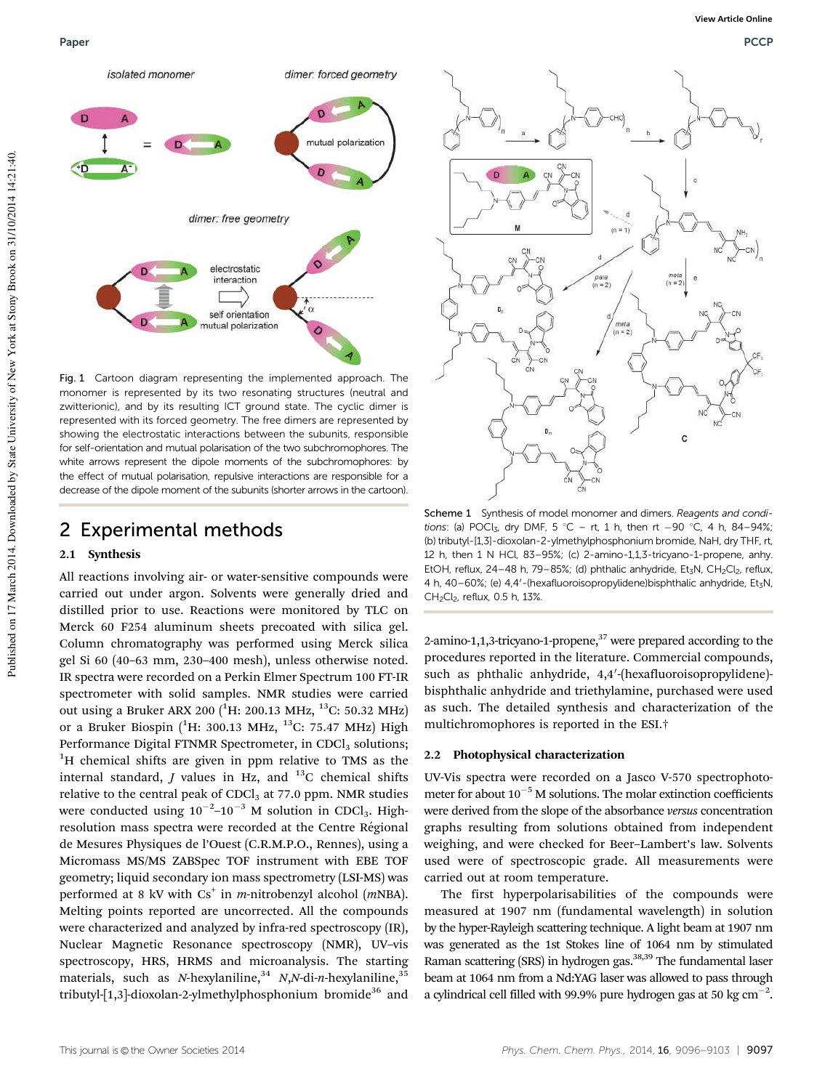

Fig. 1 Cartoon diagram representing the implemented approach. The monomer is represented by its two resonating structures (neutral and zwitterionic), and by its resulting ICT ground state. The cyclic dimer is represented with its forced geometry. The free dimers are represented by showing the electrostatic interactions between the subunits, responsible for self-orientation and mutual polarisation of the two subchromophores. The white arrows represent the dipole moments of the subchromophores: by the effect of mutual polarisation, repulsive interactions are responsible for a decrease of the dipole moment of the subunits (shorter arrows in the cartoon).

#### 2 Experimental methods

#### 2.1 Synthesis

All reactions involving air- or water-sensitive compounds were carried out under argon. Solvents were generally dried and distilled prior to use. Reactions were monitored by TLC on Merck 60 F254 aluminum sheets precoated with silica gel. Column chromatography was performed using Merck silica gel Si 60 (40–63 mm, 230–400 mesh), unless otherwise noted. IR spectra were recorded on a Perkin Elmer Spectrum 100 FT-IR spectrometer with solid samples. NMR studies were carried out using a Bruker ARX 200 <sup>(1</sup>H: 200.13 MHz, <sup>13</sup>C: 50.32 MHz) or a Bruker Biospin (<sup>1</sup>H: 300.13 MHz, <sup>13</sup>C: 75.47 MHz) High Performance Digital FTNMR Spectrometer, in CDCl<sub>3</sub> solutions; <sup>1</sup>H chemical shifts are given in ppm relative to TMS as the internal standard,  $J$  values in Hz, and  $^{13}$ C chemical shifts relative to the central peak of CDCl<sub>3</sub> at 77.0 ppm. NMR studies were conducted using  $10^{-2}$ – $10^{-3}$  M solution in CDCl<sub>3</sub>. Highresolution mass spectra were recorded at the Centre Régional de Mesures Physiques de l'Ouest (C.R.M.P.O., Rennes), using a Micromass MS/MS ZABSpec TOF instrument with EBE TOF geometry; liquid secondary ion mass spectrometry (LSI-MS) was performed at 8 kV with Cs<sup>+</sup> in *m*-nitrobenzyl alcohol (*mNBA*). Melting points reported are uncorrected. All the compounds were characterized and analyzed by infra-red spectroscopy (IR), Nuclear Magnetic Resonance spectroscopy (NMR), UV–vis spectroscopy, HRS, HRMS and microanalysis. The starting materials, such as *N*-hexylaniline,<sup>34</sup> *N*,*N*-di-*n*-hexylaniline,<sup>35</sup> tributyl-[1,3]-dioxolan-2-ylmethylphosphonium bromide<sup>36</sup> and



Scheme 1 Synthesis of model monomer and dimers. Reagents and conditions: (a) POCl<sub>3</sub>, dry DMF, 5 °C – rt, 1 h, then rt  $-90$  °C, 4 h, 84–94%; (b) tributyl-[1,3]-dioxolan-2-ylmethylphosphonium bromide, NaH, dry THF, rt, 12 h, then 1 N HCl, 83–95%; (c) 2-amino-1,1,3-tricyano-1-propene, anhy. EtOH, reflux, 24-48 h, 79-85%; (d) phthalic anhydride, Et<sub>3</sub>N, CH<sub>2</sub>Cl<sub>2</sub>, reflux, 4 h, 40-60%; (e) 4,4'-(hexafluoroisopropylidene)bisphthalic anhydride, Et<sub>3</sub>N,  $CH_2Cl_2$ , reflux, 0.5 h, 13%.

2-amino-1,1,3-tricyano-1-propene,<sup>37</sup> were prepared according to the procedures reported in the literature. Commercial compounds, such as phthalic anhydride, 4,4'-(hexafluoroisopropylidene)bisphthalic anhydride and triethylamine, purchased were used as such. The detailed synthesis and characterization of the multichromophores is reported in the ESI.†

#### 2.2 Photophysical characterization

UV-Vis spectra were recorded on a Jasco V-570 spectrophotometer for about  $10^{-5}$  M solutions. The molar extinction coefficients were derived from the slope of the absorbance *versus* concentration graphs resulting from solutions obtained from independent weighing, and were checked for Beer–Lambert's law. Solvents used were of spectroscopic grade. All measurements were carried out at room temperature.

The first hyperpolarisabilities of the compounds were measured at 1907 nm (fundamental wavelength) in solution by the hyper-Rayleigh scattering technique. A light beam at 1907 nm was generated as the 1st Stokes line of 1064 nm by stimulated Raman scattering (SRS) in hydrogen gas.<sup>38,39</sup> The fundamental laser beam at 1064 nm from a Nd:YAG laser was allowed to pass through a cylindrical cell filled with 99.9% pure hydrogen gas at 50 kg cm<sup>-2</sup>.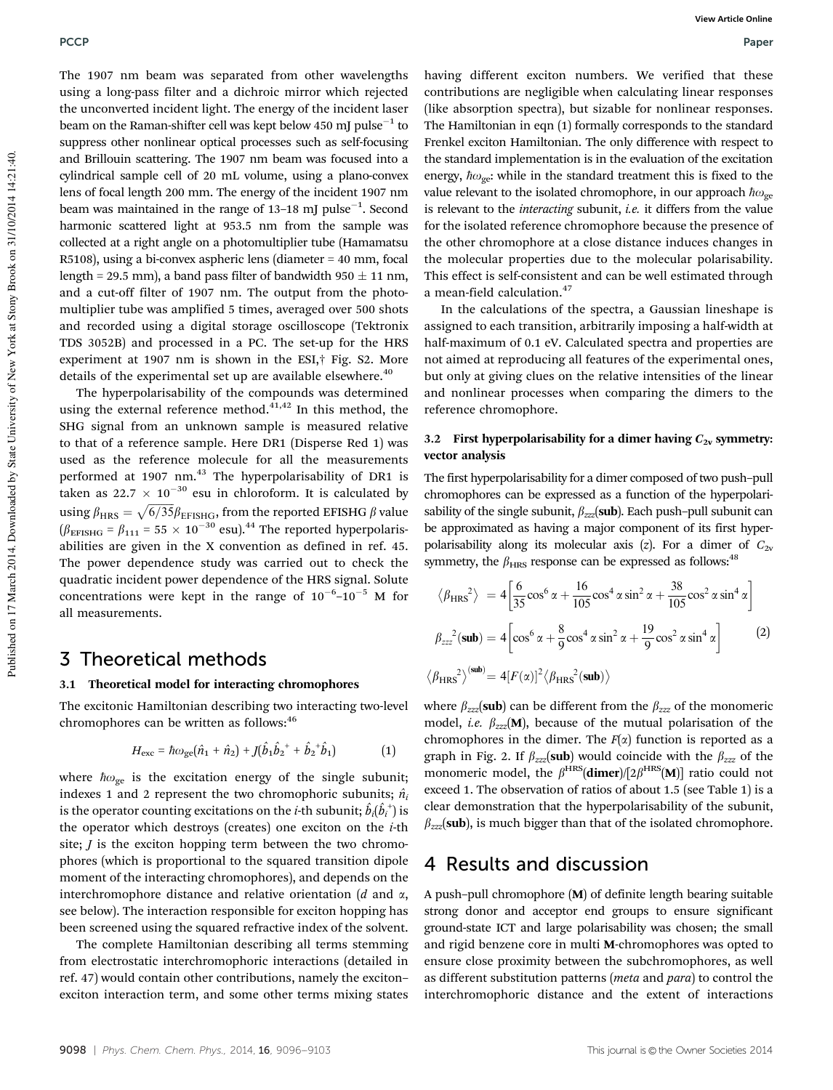The 1907 nm beam was separated from other wavelengths using a long-pass filter and a dichroic mirror which rejected the unconverted incident light. The energy of the incident laser beam on the Raman-shifter cell was kept below 450 mJ  $\rm{pulse}^{-1}$  to suppress other nonlinear optical processes such as self-focusing and Brillouin scattering. The 1907 nm beam was focused into a cylindrical sample cell of 20 mL volume, using a plano-convex lens of focal length 200 mm. The energy of the incident 1907 nm beam was maintained in the range of  $13-18$  mJ pulse<sup> $-1$ </sup>. Second harmonic scattered light at 953.5 nm from the sample was collected at a right angle on a photomultiplier tube (Hamamatsu R5108), using a bi-convex aspheric lens (diameter = 40 mm, focal length = 29.5 mm), a band pass filter of bandwidth 950  $\pm$  11 nm, and a cut-off filter of 1907 nm. The output from the photomultiplier tube was amplified 5 times, averaged over 500 shots and recorded using a digital storage oscilloscope (Tektronix TDS 3052B) and processed in a PC. The set-up for the HRS experiment at 1907 nm is shown in the ESI,† Fig. S2. More details of the experimental set up are available elsewhere.<sup>40</sup>

The hyperpolarisability of the compounds was determined using the external reference method.<sup>41,42</sup> In this method, the SHG signal from an unknown sample is measured relative to that of a reference sample. Here DR1 (Disperse Red 1) was used as the reference molecule for all the measurements performed at 1907 nm.<sup>43</sup> The hyperpolarisability of DR1 is taken as  $22.7 \times 10^{-30}$  esu in chloroform. It is calculated by using  $\beta_{\rm HRS} = \sqrt{6/35} \beta_{\rm EFISHG}$ , from the reported EFISHG  $\beta$  value  $(\beta_{\text{EFISHG}} = \beta_{111} = 55 \times 10^{-30} \text{ esu}).^{44}$  The reported hyperpolarisabilities are given in the X convention as defined in ref. 45. The power dependence study was carried out to check the quadratic incident power dependence of the HRS signal. Solute concentrations were kept in the range of  $10^{-6}$ - $10^{-5}$  M for all measurements.

#### 3 Theoretical methods

#### 3.1 Theoretical model for interacting chromophores

The excitonic Hamiltonian describing two interacting two-level chromophores can be written as follows:<sup>46</sup>

$$
H_{\text{exc}} = \hbar \omega_{\text{ge}} (\hat{n}_1 + \hat{n}_2) + J(\hat{b}_1 \hat{b}_2^{\dagger} + \hat{b}_2^{\dagger} \hat{b}_1) \tag{1}
$$

where  $\hbar \omega_{\rm ge}$  is the excitation energy of the single subunit; indexes 1 and 2 represent the two chromophoric subunits;  $\hat{n}_i$ is the operator counting excitations on the *i*-th subunit;  $\hat{b}_i(\hat{b}_i^{\scriptscriptstyle +})$  is the operator which destroys (creates) one exciton on the *i*-th site; *J* is the exciton hopping term between the two chromophores (which is proportional to the squared transition dipole moment of the interacting chromophores), and depends on the interchromophore distance and relative orientation (*d* and a, see below). The interaction responsible for exciton hopping has been screened using the squared refractive index of the solvent.

The complete Hamiltonian describing all terms stemming from electrostatic interchromophoric interactions (detailed in ref. 47) would contain other contributions, namely the exciton– exciton interaction term, and some other terms mixing states

having different exciton numbers. We verified that these contributions are negligible when calculating linear responses (like absorption spectra), but sizable for nonlinear responses. The Hamiltonian in eqn (1) formally corresponds to the standard Frenkel exciton Hamiltonian. The only difference with respect to the standard implementation is in the evaluation of the excitation energy,  $\hbar \omega_{\rm ge}$ : while in the standard treatment this is fixed to the value relevant to the isolated chromophore, in our approach  $\hbar\omega_{\rm ge}$ is relevant to the *interacting* subunit, *i.e.* it differs from the value for the isolated reference chromophore because the presence of the other chromophore at a close distance induces changes in the molecular properties due to the molecular polarisability. This effect is self-consistent and can be well estimated through a mean-field calculation.<sup>47</sup>

In the calculations of the spectra, a Gaussian lineshape is assigned to each transition, arbitrarily imposing a half-width at half-maximum of 0.1 eV. Calculated spectra and properties are not aimed at reproducing all features of the experimental ones, but only at giving clues on the relative intensities of the linear and nonlinear processes when comparing the dimers to the reference chromophore.

#### 3.2 First hyperpolarisability for a dimer having  $C_{2v}$  symmetry: vector analysis

The first hyperpolarisability for a dimer composed of two push–pull chromophores can be expressed as a function of the hyperpolarisability of the single subunit,  $\beta_{zzz}$ (sub). Each push–pull subunit can be approximated as having a major component of its first hyperpolarisability along its molecular axis  $(z)$ . For a dimer of  $C_{2v}$ symmetry, the  $\beta_{\text{HRS}}$  response can be expressed as follows:<sup>48</sup>

$$
\langle \beta_{\rm HRS}^2 \rangle = 4 \left[ \frac{6}{35} \cos^6 \alpha + \frac{16}{105} \cos^4 \alpha \sin^2 \alpha + \frac{38}{105} \cos^2 \alpha \sin^4 \alpha \right]
$$
  

$$
\beta_{zzz}^2 (\text{sub}) = 4 \left[ \cos^6 \alpha + \frac{8}{9} \cos^4 \alpha \sin^2 \alpha + \frac{19}{9} \cos^2 \alpha \sin^4 \alpha \right]
$$
 (2)  

$$
\langle \beta_{\rm HRS}^2 \rangle^{(\text{sub})} = 4 \left[ F(\alpha) \right]^2 \langle \beta_{\rm HRS}^2 (\text{sub}) \rangle
$$

where  $\beta_{zzz}$ (sub) can be different from the  $\beta_{zzz}$  of the monomeric model, *i.e.*  $\beta_{zzz}$ (M), because of the mutual polarisation of the chromophores in the dimer. The  $F(\alpha)$  function is reported as a graph in Fig. 2. If  $\beta_{zzz}$ (sub) would coincide with the  $\beta_{zzz}$  of the monomeric model, the  $\beta^{HRS}$ (dimer)/[2 $\beta^{HRS}(M)$ ] ratio could not exceed 1. The observation of ratios of about 1.5 (see Table 1) is a clear demonstration that the hyperpolarisability of the subunit,  $\beta_{zzz}$ (sub), is much bigger than that of the isolated chromophore.

#### 4 Results and discussion

A push–pull chromophore (M) of definite length bearing suitable strong donor and acceptor end groups to ensure significant ground-state ICT and large polarisability was chosen; the small and rigid benzene core in multi M-chromophores was opted to ensure close proximity between the subchromophores, as well as different substitution patterns (*meta* and *para*) to control the interchromophoric distance and the extent of interactions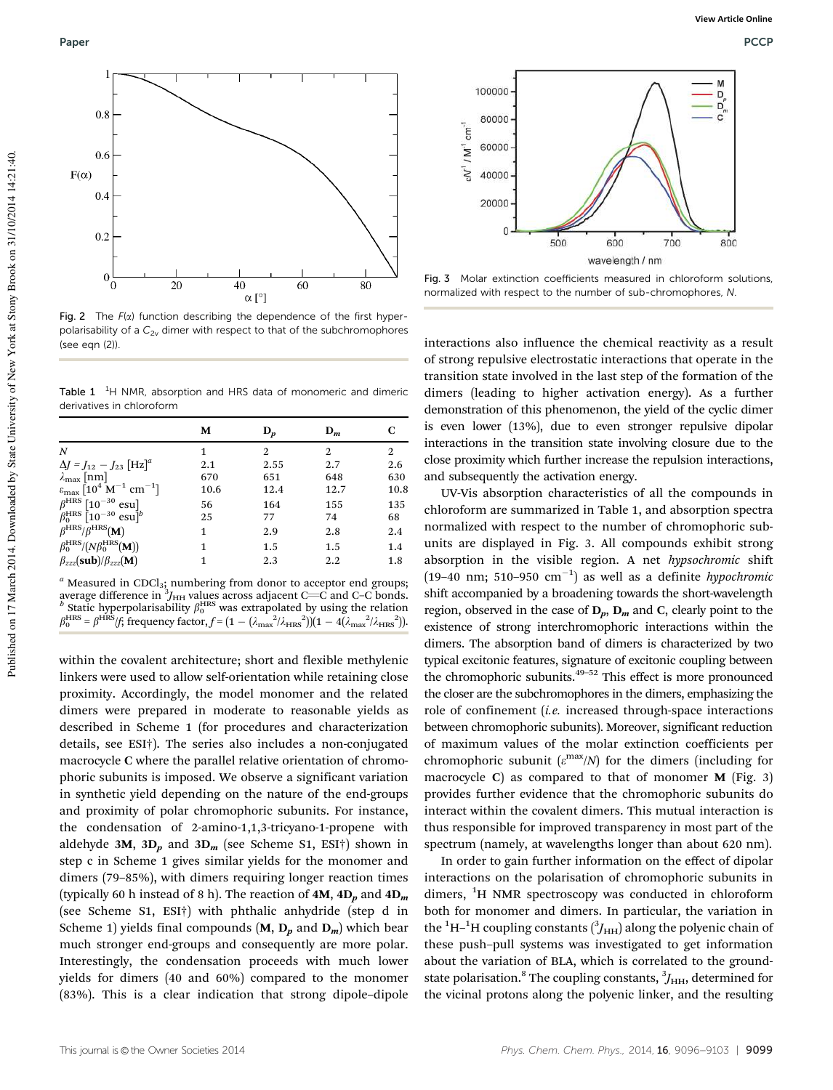

Fig. 2 The  $F(x)$  function describing the dependence of the first hyperpolarisability of a  $C_{2v}$  dimer with respect to that of the subchromophores  $(see can (2))$ 

Table  $1^{-1}$ H NMR, absorption and HRS data of monomeric and dimeric derivatives in chloroform

|                                                                                | М    | $D_p$ | $D_m$ | С    |
|--------------------------------------------------------------------------------|------|-------|-------|------|
| N                                                                              | 1    | 2     | 2     | 2    |
| $\Delta J = J_{12} - J_{23} [\text{Hz}]^{a}$                                   | 2.1  | 2.55  | 2.7   | 2.6  |
| $\lambda_{\max}$ [nm]                                                          | 670  | 651   | 648   | 630  |
| $\varepsilon_{\text{max}}$ [10 <sup>4</sup> M <sup>-1</sup> cm <sup>-1</sup> ] | 10.6 | 12.4  | 12.7  | 10.8 |
| $\beta^{\rm HRS}$ [10 <sup>-30</sup> esu]                                      | 56   | 164   | 155   | 135  |
| $\beta_0^{\text{HRS}}$ [10 <sup>-30</sup> esu] <sup>b</sup>                    | 25   | 77    | 74    | 68   |
| $\beta^{\rm HRS}/\beta^{\rm HRS}$ (M)                                          | 1    | 2.9   | 2.8   | 2.4  |
| $\beta_0^{\rm HRS}/(N\beta_0^{\rm HRS}(\mathbf{M}))$                           | 1    | 1.5   | 1.5   | 1.4  |
| $\beta_{zzz}$ (sub)/ $\beta_{zzz}$ (M)                                         |      | 2.3   | 2.2   | 1.8  |

<sup>a</sup> Measured in CDCl<sub>3</sub>; numbering from donor to acceptor end groups; average difference in  ${}^{3}\!J_{\rm{HH}}$  values across adjacent C—C and C–C bonds.<br><sup>b</sup> Static hyperpolarisability  $\beta^{\rm{HRS}}_0$  was extrapolated by using the relation  $\beta_0^{\text{HRS}} = \beta^{\text{HRS}}/f$ ; frequency factor,  $f = (1 - (\lambda_{\text{max}}^2/\lambda_{\text{HRS}}^2))(1 - 4(\lambda_{\text{max}}^2/\lambda_{\text{HRS}}^2)).$ 

within the covalent architecture; short and flexible methylenic linkers were used to allow self-orientation while retaining close proximity. Accordingly, the model monomer and the related dimers were prepared in moderate to reasonable yields as described in Scheme 1 (for procedures and characterization details, see ESI†). The series also includes a non-conjugated macrocycle C where the parallel relative orientation of chromophoric subunits is imposed. We observe a significant variation in synthetic yield depending on the nature of the end-groups and proximity of polar chromophoric subunits. For instance, the condensation of 2-amino-1,1,3-tricyano-1-propene with aldehyde 3M,  $3D_p$  and  $3D_m$  (see Scheme S1, ESI†) shown in step c in Scheme 1 gives similar yields for the monomer and dimers (79–85%), with dimers requiring longer reaction times (typically 60 h instead of 8 h). The reaction of  $4M$ ,  $4D_n$  and  $4D_m$ (see Scheme S1, ESI†) with phthalic anhydride (step d in Scheme 1) yields final compounds  $(M, D_n$  and  $D_m$ ) which bear much stronger end-groups and consequently are more polar. Interestingly, the condensation proceeds with much lower yields for dimers (40 and 60%) compared to the monomer (83%). This is a clear indication that strong dipole–dipole



Fig. 3 Molar extinction coefficients measured in chloroform solutions, normalized with respect to the number of sub-chromophores, N.

interactions also influence the chemical reactivity as a result of strong repulsive electrostatic interactions that operate in the transition state involved in the last step of the formation of the dimers (leading to higher activation energy). As a further demonstration of this phenomenon, the yield of the cyclic dimer is even lower (13%), due to even stronger repulsive dipolar interactions in the transition state involving closure due to the close proximity which further increase the repulsion interactions, and subsequently the activation energy.

UV-Vis absorption characteristics of all the compounds in chloroform are summarized in Table 1, and absorption spectra normalized with respect to the number of chromophoric subunits are displayed in Fig. 3. All compounds exhibit strong absorption in the visible region. A net *hypsochromic* shift  $(19-40 \text{ nm}; 510-950 \text{ cm}^{-1})$  as well as a definite *hypochromic* shift accompanied by a broadening towards the short-wavelength region, observed in the case of  $D_p$ ,  $D_m$  and C, clearly point to the existence of strong interchromophoric interactions within the dimers. The absorption band of dimers is characterized by two typical excitonic features, signature of excitonic coupling between the chromophoric subunits. $49-52$  This effect is more pronounced the closer are the subchromophores in the dimers, emphasizing the role of confinement (*i.e.* increased through-space interactions between chromophoric subunits). Moreover, significant reduction of maximum values of the molar extinction coefficients per chromophoric subunit  $(\varepsilon^{\text{max}}/N)$  for the dimers (including for macrocycle C) as compared to that of monomer  $M$  (Fig. 3) provides further evidence that the chromophoric subunits do interact within the covalent dimers. This mutual interaction is thus responsible for improved transparency in most part of the spectrum (namely, at wavelengths longer than about 620 nm).

In order to gain further information on the effect of dipolar interactions on the polarisation of chromophoric subunits in dimers,  ${}^{1}H$  NMR spectroscopy was conducted in chloroform both for monomer and dimers. In particular, the variation in the  ${}^{1}\mathrm{H}\text{--}{}^{1}\mathrm{H}$  coupling constants  $({}^{3}\!J_{\text{HH}})$  along the polyenic chain of these push–pull systems was investigated to get information about the variation of BLA, which is correlated to the groundstate polarisation.<sup>8</sup> The coupling constants,  $\beta_{HH}$ , determined for the vicinal protons along the polyenic linker, and the resulting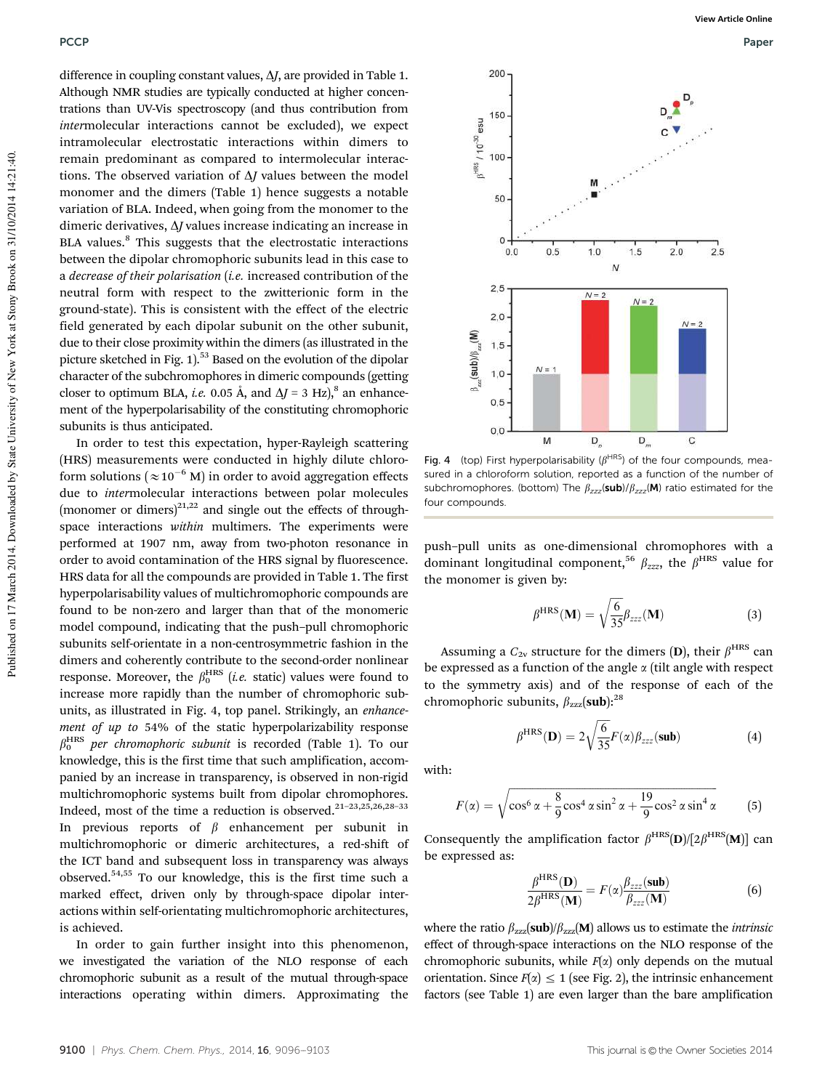difference in coupling constant values,  $\Delta J$ , are provided in Table 1. Although NMR studies are typically conducted at higher concentrations than UV-Vis spectroscopy (and thus contribution from *inter*molecular interactions cannot be excluded), we expect intramolecular electrostatic interactions within dimers to remain predominant as compared to intermolecular interactions. The observed variation of  $\Delta J$  values between the model monomer and the dimers (Table 1) hence suggests a notable variation of BLA. Indeed, when going from the monomer to the dimeric derivatives, Δ*J* values increase indicating an increase in BLA values.<sup>8</sup> This suggests that the electrostatic interactions between the dipolar chromophoric subunits lead in this case to a *decrease of their polarisation* (*i.e.* increased contribution of the neutral form with respect to the zwitterionic form in the ground-state). This is consistent with the effect of the electric field generated by each dipolar subunit on the other subunit, due to their close proximity within the dimers (as illustrated in the picture sketched in Fig.  $1$ <sup>53</sup> Based on the evolution of the dipolar character of the subchromophores in dimeric compounds (getting closer to optimum BLA, *i.e.* 0.05 Å, and  $\Delta J = 3 \text{ Hz}$ , <sup>8</sup> an enhancement of the hyperpolarisability of the constituting chromophoric subunits is thus anticipated.

In order to test this expectation, hyper-Rayleigh scattering (HRS) measurements were conducted in highly dilute chloroform solutions ( $\approx$  10<sup>-6</sup> M) in order to avoid aggregation effects due to *inter*molecular interactions between polar molecules (monomer or dimers) $21,22$  and single out the effects of throughspace interactions *within* multimers. The experiments were performed at 1907 nm, away from two-photon resonance in order to avoid contamination of the HRS signal by fluorescence. HRS data for all the compounds are provided in Table 1. The first hyperpolarisability values of multichromophoric compounds are found to be non-zero and larger than that of the monomeric model compound, indicating that the push–pull chromophoric subunits self-orientate in a non-centrosymmetric fashion in the dimers and coherently contribute to the second-order nonlinear response. Moreover, the  $\beta_0^{\mathrm{HRS}}$  (*i.e.* static) values were found to increase more rapidly than the number of chromophoric subunits, as illustrated in Fig. 4, top panel. Strikingly, an *enhancement of up to* 54% of the static hyperpolarizability response  $\beta_0^{\text{HRS}}$  per chromophoric subunit is recorded (Table 1). To our knowledge, this is the first time that such amplification, accompanied by an increase in transparency, is observed in non-rigid multichromophoric systems built from dipolar chromophores. Indeed, most of the time a reduction is observed.<sup>21-23,25,26,28-33</sup> In previous reports of  $\beta$  enhancement per subunit in multichromophoric or dimeric architectures, a red-shift of the ICT band and subsequent loss in transparency was always observed.54,55 To our knowledge, this is the first time such a marked effect, driven only by through-space dipolar interactions within self-orientating multichromophoric architectures, is achieved.

In order to gain further insight into this phenomenon, we investigated the variation of the NLO response of each chromophoric subunit as a result of the mutual through-space interactions operating within dimers. Approximating the



Fig. 4 (top) First hyperpolarisability ( $\beta$ <sup>HRS</sup>) of the four compounds, measured in a chloroform solution, reported as a function of the number of subchromophores. (bottom) The  $\beta_{zzz}$ (sub)/ $\beta_{zzz}$ (M) ratio estimated for the four compounds.

push–pull units as one-dimensional chromophores with a dominant longitudinal component,<sup>56</sup>  $\beta_{zzz}$ , the  $\beta^{\text{HRS}}$  value for the monomer is given by:

$$
\beta^{HRS}(\mathbf{M}) = \sqrt{\frac{6}{35}} \beta_{zzz}(\mathbf{M})
$$
 (3)

Assuming a  $C_{2v}$  structure for the dimers (D), their  $\beta^{\rm HRS}$  can be expressed as a function of the angle  $\alpha$  (tilt angle with respect to the symmetry axis) and of the response of each of the chromophoric subunits,  $\beta_{zzz}$ (sub):<sup>28</sup>

$$
\beta^{HRS}(\mathbf{D}) = 2\sqrt{\frac{6}{35}}F(\alpha)\beta_{zzz}(\mathbf{sub})
$$
\n(4)

with:

$$
F(\alpha) = \sqrt{\cos^6 \alpha + \frac{8}{9} \cos^4 \alpha \sin^2 \alpha + \frac{19}{9} \cos^2 \alpha \sin^4 \alpha}
$$
 (5)

Consequently the amplification factor  $\beta^{\text{HRS}}(\mathbf{D})/[2\beta^{\text{HRS}}(\mathbf{M})]$  can be expressed as:

$$
\frac{\beta^{\rm HRS}(\mathbf{D})}{2\beta^{\rm HRS}(\mathbf{M})} = F(\alpha)\frac{\beta_{zzz}(\textbf{sub})}{\beta_{zzz}(\mathbf{M})}
$$
(6)

where the ratio  $\beta_{zzz}(\text{sub})/\beta_{zzz}(\text{M})$  allows us to estimate the *intrinsic* effect of through-space interactions on the NLO response of the chromophoric subunits, while  $F(x)$  only depends on the mutual orientation. Since  $F(\alpha) \leq 1$  (see Fig. 2), the intrinsic enhancement factors (see Table 1) are even larger than the bare amplification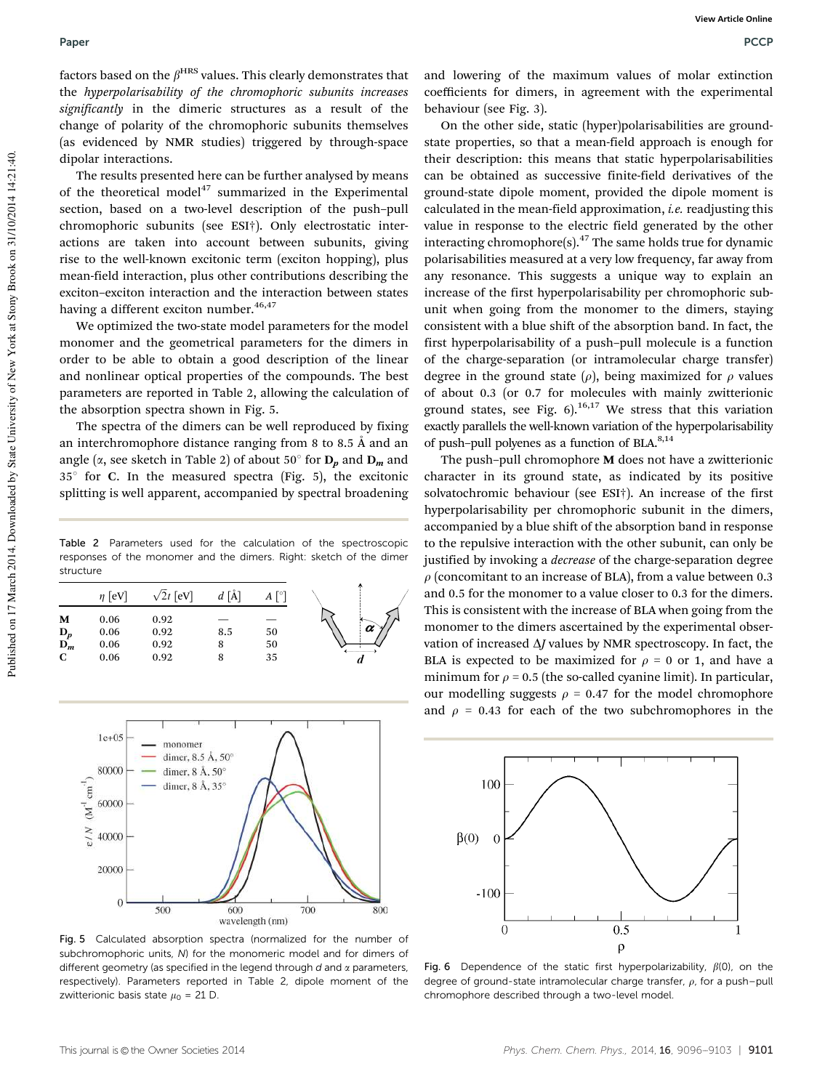factors based on the  $\beta^{\rm HRS}$  values. This clearly demonstrates that the *hyperpolarisability of the chromophoric subunits increases significantly* in the dimeric structures as a result of the change of polarity of the chromophoric subunits themselves (as evidenced by NMR studies) triggered by through-space dipolar interactions.

The results presented here can be further analysed by means of the theoretical model<sup>47</sup> summarized in the Experimental section, based on a two-level description of the push–pull chromophoric subunits (see ESI†). Only electrostatic interactions are taken into account between subunits, giving rise to the well-known excitonic term (exciton hopping), plus mean-field interaction, plus other contributions describing the exciton–exciton interaction and the interaction between states having a different exciton number.<sup>46,47</sup>

We optimized the two-state model parameters for the model monomer and the geometrical parameters for the dimers in order to be able to obtain a good description of the linear and nonlinear optical properties of the compounds. The best parameters are reported in Table 2, allowing the calculation of the absorption spectra shown in Fig. 5.

The spectra of the dimers can be well reproduced by fixing an interchromophore distance ranging from 8 to 8.5 Å and an angle ( $\alpha$ , see sketch in Table 2) of about 50 $\degree$  for  $D_p$  and  $D_m$  and  $35^\circ$  for C. In the measured spectra (Fig. 5), the excitonic splitting is well apparent, accompanied by spectral broadening

Table 2 Parameters used for the calculation of the spectroscopic responses of the monomer and the dimers. Right: sketch of the dimer structure





Fig. 5 Calculated absorption spectra (normalized for the number of subchromophoric units, N) for the monomeric model and for dimers of different geometry (as specified in the legend through  $d$  and  $\alpha$  parameters, respectively). Parameters reported in Table 2, dipole moment of the zwitterionic basis state  $\mu_0$  = 21 D

and lowering of the maximum values of molar extinction coefficients for dimers, in agreement with the experimental behaviour (see Fig. 3).

On the other side, static (hyper)polarisabilities are groundstate properties, so that a mean-field approach is enough for their description: this means that static hyperpolarisabilities can be obtained as successive finite-field derivatives of the ground-state dipole moment, provided the dipole moment is calculated in the mean-field approximation, *i.e.* readjusting this value in response to the electric field generated by the other interacting chromophore(s). $47$  The same holds true for dynamic polarisabilities measured at a very low frequency, far away from any resonance. This suggests a unique way to explain an increase of the first hyperpolarisability per chromophoric subunit when going from the monomer to the dimers, staying consistent with a blue shift of the absorption band. In fact, the first hyperpolarisability of a push–pull molecule is a function of the charge-separation (or intramolecular charge transfer) degree in the ground state  $(\rho)$ , being maximized for  $\rho$  values of about 0.3 (or 0.7 for molecules with mainly zwitterionic ground states, see Fig.  $6$ ).<sup>16,17</sup> We stress that this variation exactly parallels the well-known variation of the hyperpolarisability of push-pull polyenes as a function of BLA.<sup>8,14</sup>

The push–pull chromophore M does not have a zwitterionic character in its ground state, as indicated by its positive solvatochromic behaviour (see ESI†). An increase of the first hyperpolarisability per chromophoric subunit in the dimers, accompanied by a blue shift of the absorption band in response to the repulsive interaction with the other subunit, can only be justified by invoking a *decrease* of the charge-separation degree  $\rho$  (concomitant to an increase of BLA), from a value between 0.3 and 0.5 for the monomer to a value closer to 0.3 for the dimers. This is consistent with the increase of BLA when going from the monomer to the dimers ascertained by the experimental observation of increased  $\Delta J$  values by NMR spectroscopy. In fact, the BLA is expected to be maximized for  $\rho = 0$  or 1, and have a minimum for  $\rho$  = 0.5 (the so-called cyanine limit). In particular, our modelling suggests  $\rho = 0.47$  for the model chromophore and  $\rho$  = 0.43 for each of the two subchromophores in the



Fig. 6 Dependence of the static first hyperpolarizability,  $\beta(0)$ , on the degree of ground-state intramolecular charge transfer,  $\rho$ , for a push–pull chromophore described through a two-level model.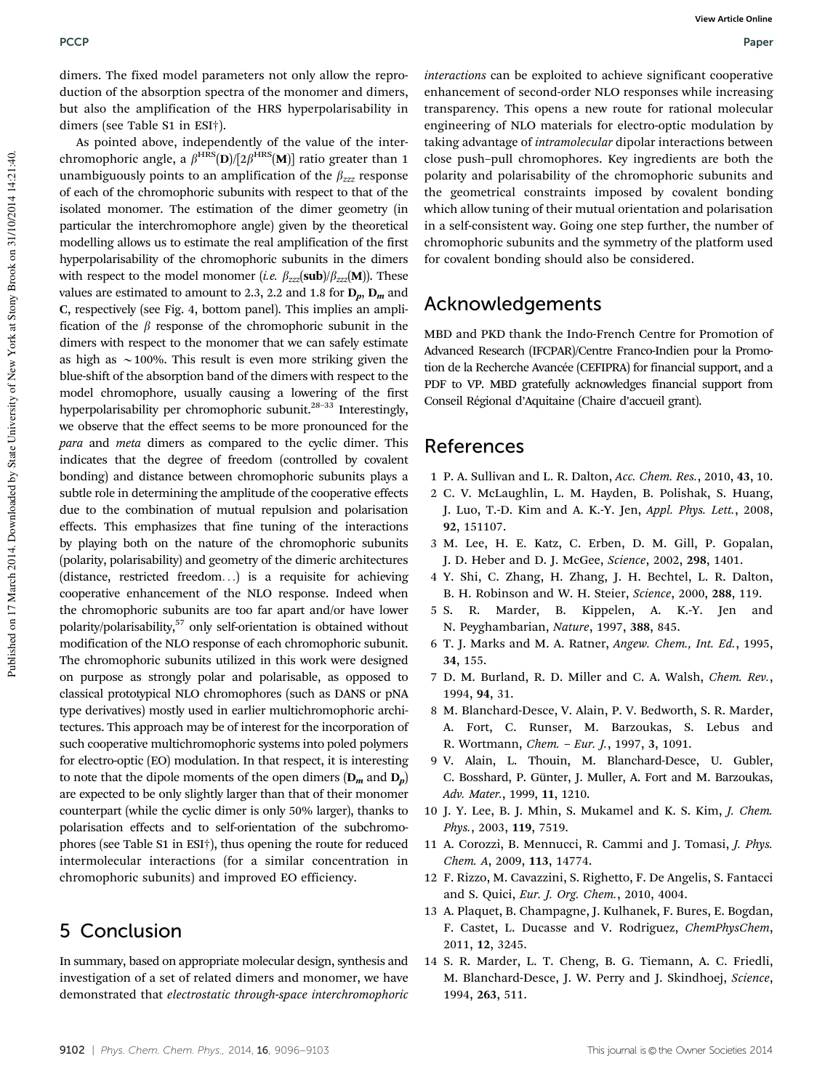dimers. The fixed model parameters not only allow the reproduction of the absorption spectra of the monomer and dimers, but also the amplification of the HRS hyperpolarisability in dimers (see Table S1 in ESI†).

As pointed above, independently of the value of the interchromophoric angle, a  $\beta^{\rm HRS} (\textbf{D}) / [2 \beta^{\rm HRS} (\textbf{M})]$  ratio greater than 1 unambiguously points to an amplification of the  $\beta_{zzz}$  response of each of the chromophoric subunits with respect to that of the isolated monomer. The estimation of the dimer geometry (in particular the interchromophore angle) given by the theoretical modelling allows us to estimate the real amplification of the first hyperpolarisability of the chromophoric subunits in the dimers with respect to the model monomer (*i.e.*  $\beta_{zzz}(\text{sub})/\beta_{zzz}(\text{M})$ ). These values are estimated to amount to 2.3, 2.2 and 1.8 for  $D_n$ ,  $D_m$  and C, respectively (see Fig. 4, bottom panel). This implies an amplification of the  $\beta$  response of the chromophoric subunit in the dimers with respect to the monomer that we can safely estimate as high as  $\sim$ 100%. This result is even more striking given the blue-shift of the absorption band of the dimers with respect to the model chromophore, usually causing a lowering of the first hyperpolarisability per chromophoric subunit.<sup>28-33</sup> Interestingly, we observe that the effect seems to be more pronounced for the *para* and *meta* dimers as compared to the cyclic dimer. This indicates that the degree of freedom (controlled by covalent bonding) and distance between chromophoric subunits plays a subtle role in determining the amplitude of the cooperative effects due to the combination of mutual repulsion and polarisation effects. This emphasizes that fine tuning of the interactions by playing both on the nature of the chromophoric subunits (polarity, polarisability) and geometry of the dimeric architectures (distance, restricted freedom...) is a requisite for achieving cooperative enhancement of the NLO response. Indeed when the chromophoric subunits are too far apart and/or have lower polarity/polarisability,<sup>57</sup> only self-orientation is obtained without modification of the NLO response of each chromophoric subunit. The chromophoric subunits utilized in this work were designed on purpose as strongly polar and polarisable, as opposed to classical prototypical NLO chromophores (such as DANS or pNA type derivatives) mostly used in earlier multichromophoric architectures. This approach may be of interest for the incorporation of such cooperative multichromophoric systems into poled polymers for electro-optic (EO) modulation. In that respect, it is interesting to note that the dipole moments of the open dimers  $(D_m$  and  $D_p$ ) are expected to be only slightly larger than that of their monomer counterpart (while the cyclic dimer is only 50% larger), thanks to polarisation effects and to self-orientation of the subchromophores (see Table S1 in ESI†), thus opening the route for reduced intermolecular interactions (for a similar concentration in chromophoric subunits) and improved EO efficiency.

### 5 Conclusion

In summary, based on appropriate molecular design, synthesis and investigation of a set of related dimers and monomer, we have demonstrated that *electrostatic through-space interchromophoric* *interactions* can be exploited to achieve significant cooperative enhancement of second-order NLO responses while increasing transparency. This opens a new route for rational molecular engineering of NLO materials for electro-optic modulation by taking advantage of *intramolecular* dipolar interactions between close push–pull chromophores. Key ingredients are both the polarity and polarisability of the chromophoric subunits and the geometrical constraints imposed by covalent bonding which allow tuning of their mutual orientation and polarisation in a self-consistent way. Going one step further, the number of chromophoric subunits and the symmetry of the platform used for covalent bonding should also be considered.

### Acknowledgements

MBD and PKD thank the Indo-French Centre for Promotion of Advanced Research (IFCPAR)/Centre Franco-Indien pour la Promotion de la Recherche Avancée (CEFIPRA) for financial support, and a PDF to VP. MBD gratefully acknowledges financial support from Conseil Régional d'Aquitaine (Chaire d'accueil grant).

### References

- 1 P. A. Sullivan and L. R. Dalton, *Acc. Chem. Res.*, 2010, 43, 10.
- 2 C. V. McLaughlin, L. M. Hayden, B. Polishak, S. Huang, J. Luo, T.-D. Kim and A. K.-Y. Jen, *Appl. Phys. Lett.*, 2008, 92, 151107.
- 3 M. Lee, H. E. Katz, C. Erben, D. M. Gill, P. Gopalan, J. D. Heber and D. J. McGee, *Science*, 2002, 298, 1401.
- 4 Y. Shi, C. Zhang, H. Zhang, J. H. Bechtel, L. R. Dalton, B. H. Robinson and W. H. Steier, *Science*, 2000, 288, 119.
- 5 S. R. Marder, B. Kippelen, A. K.-Y. Jen and N. Peyghambarian, *Nature*, 1997, 388, 845.
- 6 T. J. Marks and M. A. Ratner, *Angew. Chem., Int. Ed.*, 1995, 34, 155.
- 7 D. M. Burland, R. D. Miller and C. A. Walsh, *Chem. Rev.*, 1994, 94, 31.
- 8 M. Blanchard-Desce, V. Alain, P. V. Bedworth, S. R. Marder, A. Fort, C. Runser, M. Barzoukas, S. Lebus and R. Wortmann, *Chem. – Eur. J.*, 1997, 3, 1091.
- 9 V. Alain, L. Thouin, M. Blanchard-Desce, U. Gubler, C. Bosshard, P. Günter, J. Muller, A. Fort and M. Barzoukas, *Adv. Mater.*, 1999, 11, 1210.
- 10 J. Y. Lee, B. J. Mhin, S. Mukamel and K. S. Kim, *J. Chem. Phys.*, 2003, 119, 7519.
- 11 A. Corozzi, B. Mennucci, R. Cammi and J. Tomasi, *J. Phys. Chem. A*, 2009, 113, 14774.
- 12 F. Rizzo, M. Cavazzini, S. Righetto, F. De Angelis, S. Fantacci and S. Quici, *Eur. J. Org. Chem.*, 2010, 4004.
- 13 A. Plaquet, B. Champagne, J. Kulhanek, F. Bures, E. Bogdan, F. Castet, L. Ducasse and V. Rodriguez, *ChemPhysChem*, 2011, 12, 3245.
- 14 S. R. Marder, L. T. Cheng, B. G. Tiemann, A. C. Friedli, M. Blanchard-Desce, J. W. Perry and J. Skindhoej, *Science*, 1994, 263, 511.